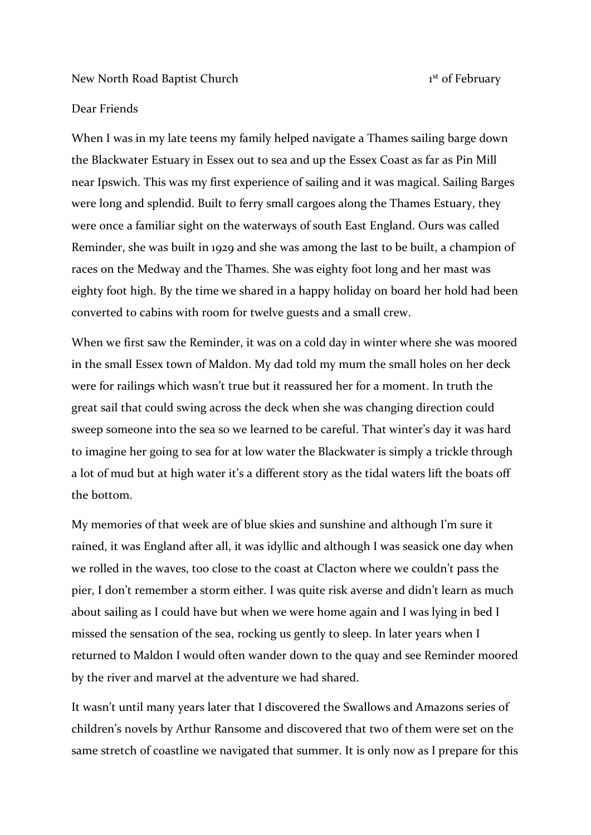New North Road Baptist Church 1

1<sup>st</sup> of February

## Dear Friends

When I was in my late teens my family helped navigate a Thames sailing barge down the Blackwater Estuary in Essex out to sea and up the Essex Coast as far as Pin Mill near Ipswich. This was my first experience of sailing and it was magical. Sailing Barges were long and splendid. Built to ferry small cargoes along the Thames Estuary, they were once a familiar sight on the waterways of south East England. Ours was called Reminder, she was built in 1929 and she was among the last to be built, a champion of races on the Medway and the Thames. She was eighty foot long and her mast was eighty foot high. By the time we shared in a happy holiday on board her hold had been converted to cabins with room for twelve guests and a small crew.

When we first saw the Reminder, it was on a cold day in winter where she was moored in the small Essex town of Maldon. My dad told my mum the small holes on her deck were for railings which wasn't true but it reassured her for a moment. In truth the great sail that could swing across the deck when she was changing direction could sweep someone into the sea so we learned to be careful. That winter's day it was hard to imagine her going to sea for at low water the Blackwater is simply a trickle through a lot of mud but at high water it's a different story as the tidal waters lift the boats off the bottom.

My memories of that week are of blue skies and sunshine and although I'm sure it rained, it was England after all, it was idyllic and although I was seasick one day when we rolled in the waves, too close to the coast at Clacton where we couldn't pass the pier, I don't remember a storm either. I was quite risk averse and didn't learn as much about sailing as I could have but when we were home again and I was lying in bed I missed the sensation of the sea, rocking us gently to sleep. In later years when I returned to Maldon I would often wander down to the quay and see Reminder moored by the river and marvel at the adventure we had shared.

It wasn't until many years later that I discovered the Swallows and Amazons series of children's novels by Arthur Ransome and discovered that two of them were set on the same stretch of coastline we navigated that summer. It is only now as I prepare for this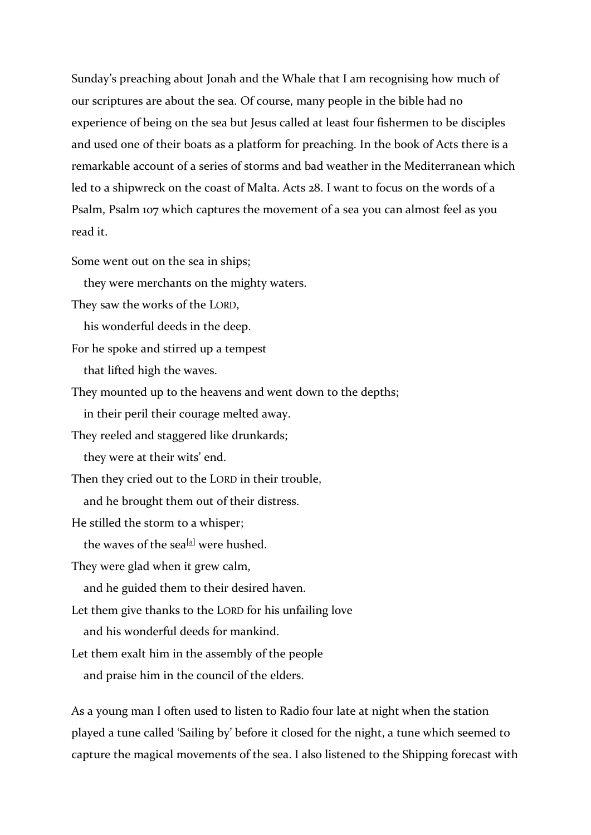Sunday's preaching about Jonah and the Whale that I am recognising how much of our scriptures are about the sea. Of course, many people in the bible had no experience of being on the sea but Jesus called at least four fishermen to be disciples and used one of their boats as a platform for preaching. In the book of Acts there is a remarkable account of a series of storms and bad weather in the Mediterranean which led to a shipwreck on the coast of Malta. Acts 28. I want to focus on the words of a Psalm, Psalm 107 which captures the movement of a sea you can almost feel as you read it.

Some went out on the sea in ships;

they were merchants on the mighty waters.

They saw the works of the LORD,

his wonderful deeds in the deep.

For he spoke and stirred up a tempest

that lifted high the waves.

They mounted up to the heavens and went down to the depths;

in their peril their courage melted away.

They reeled and staggered like drunkards;

they were at their wits' end.

Then they cried out to the LORD in their trouble,

and he brought them out of their distress.

He stilled the storm to a whisper;

the waves of the sea<sup>[\[a\]](https://www.biblegateway.com/passage/?search=Psalm%20107:23-32&version=NIV#fen-NIV-15729a)</sup> were hushed.

They were glad when it grew calm,

and he guided them to their desired haven.

Let them give thanks to the LORD for his unfailing love

and his wonderful deeds for mankind.

Let them exalt him in the assembly of the people

and praise him in the council of the elders.

As a young man I often used to listen to Radio four late at night when the station played a tune called 'Sailing by' before it closed for the night, a tune which seemed to capture the magical movements of the sea. I also listened to the Shipping forecast with